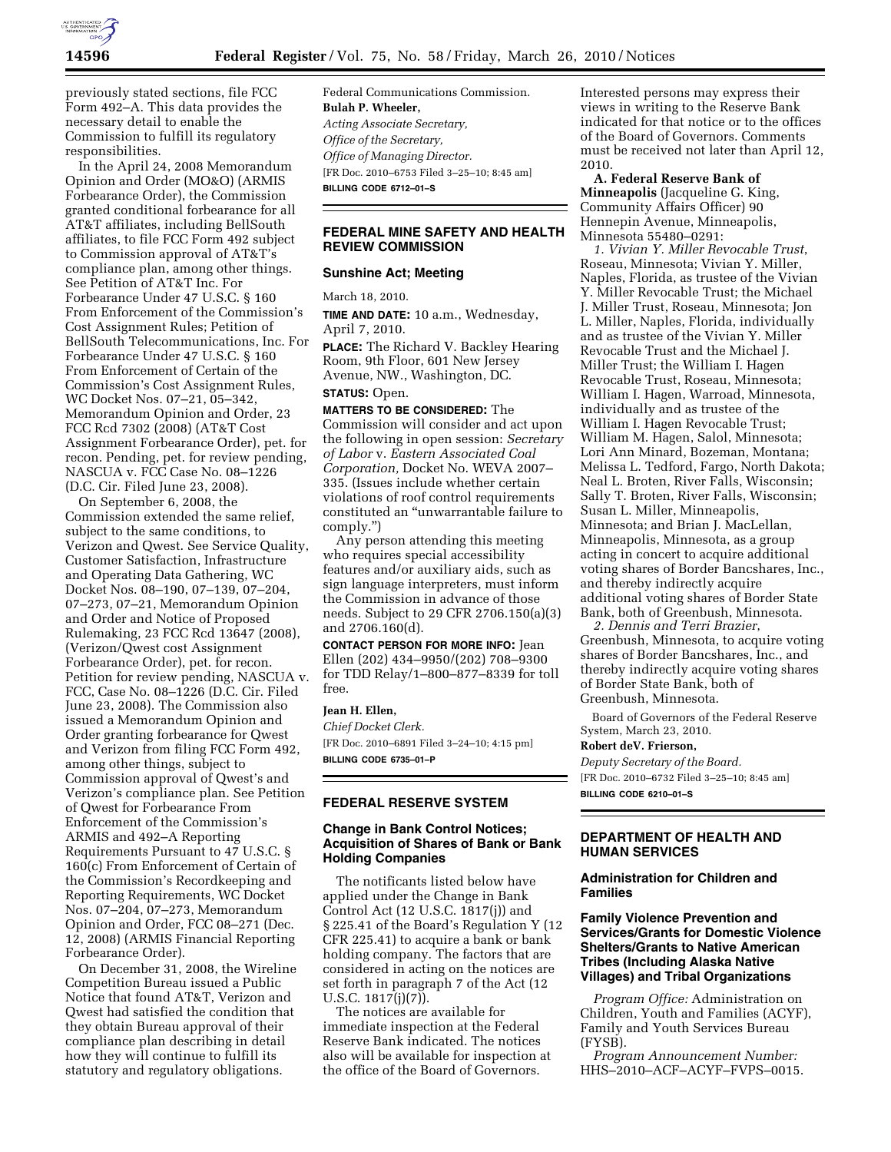

previously stated sections, file FCC Form 492–A. This data provides the necessary detail to enable the Commission to fulfill its regulatory responsibilities.

In the April 24, 2008 Memorandum Opinion and Order (MO&O) (ARMIS Forbearance Order), the Commission granted conditional forbearance for all AT&T affiliates, including BellSouth affiliates, to file FCC Form 492 subject to Commission approval of AT&T's compliance plan, among other things. See Petition of AT&T Inc. For Forbearance Under 47 U.S.C. § 160 From Enforcement of the Commission's Cost Assignment Rules; Petition of BellSouth Telecommunications, Inc. For Forbearance Under 47 U.S.C. § 160 From Enforcement of Certain of the Commission's Cost Assignment Rules, WC Docket Nos. 07–21, 05–342, Memorandum Opinion and Order, 23 FCC Rcd 7302 (2008) (AT&T Cost Assignment Forbearance Order), pet. for recon. Pending, pet. for review pending, NASCUA v. FCC Case No. 08–1226 (D.C. Cir. Filed June 23, 2008).

On September 6, 2008, the Commission extended the same relief, subject to the same conditions, to Verizon and Qwest. See Service Quality, Customer Satisfaction, Infrastructure and Operating Data Gathering, WC Docket Nos. 08–190, 07–139, 07–204, 07–273, 07–21, Memorandum Opinion and Order and Notice of Proposed Rulemaking, 23 FCC Rcd 13647 (2008), (Verizon/Qwest cost Assignment Forbearance Order), pet. for recon. Petition for review pending, NASCUA v. FCC, Case No. 08–1226 (D.C. Cir. Filed June 23, 2008). The Commission also issued a Memorandum Opinion and Order granting forbearance for Qwest and Verizon from filing FCC Form 492, among other things, subject to Commission approval of Qwest's and Verizon's compliance plan. See Petition of Qwest for Forbearance From Enforcement of the Commission's ARMIS and 492–A Reporting Requirements Pursuant to 47 U.S.C. § 160(c) From Enforcement of Certain of the Commission's Recordkeeping and Reporting Requirements, WC Docket Nos. 07–204, 07–273, Memorandum Opinion and Order, FCC 08–271 (Dec. 12, 2008) (ARMIS Financial Reporting Forbearance Order).

On December 31, 2008, the Wireline Competition Bureau issued a Public Notice that found AT&T, Verizon and Qwest had satisfied the condition that they obtain Bureau approval of their compliance plan describing in detail how they will continue to fulfill its statutory and regulatory obligations.

Federal Communications Commission. **Bulah P. Wheeler,**  *Acting Associate Secretary, Office of the Secretary, Office of Managing Director.*  [FR Doc. 2010–6753 Filed 3–25–10; 8:45 am] **BILLING CODE 6712–01–S** 

# **FEDERAL MINE SAFETY AND HEALTH REVIEW COMMISSION**

## **Sunshine Act; Meeting**

March 18, 2010.

**TIME AND DATE:** 10 a.m., Wednesday, April 7, 2010.

**PLACE:** The Richard V. Backley Hearing Room, 9th Floor, 601 New Jersey Avenue, NW., Washington, DC.

## **STATUS:** Open.

**MATTERS TO BE CONSIDERED:** The Commission will consider and act upon the following in open session: *Secretary of Labor* v. *Eastern Associated Coal Corporation,* Docket No. WEVA 2007– 335. (Issues include whether certain violations of roof control requirements constituted an ''unwarrantable failure to comply.'')

Any person attending this meeting who requires special accessibility features and/or auxiliary aids, such as sign language interpreters, must inform the Commission in advance of those needs. Subject to 29 CFR 2706.150(a)(3) and 2706.160(d).

**CONTACT PERSON FOR MORE INFO:** Jean Ellen (202) 434–9950/(202) 708–9300 for TDD Relay/1–800–877–8339 for toll free.

### **Jean H. Ellen,**

*Chief Docket Clerk.*  [FR Doc. 2010–6891 Filed 3–24–10; 4:15 pm] **BILLING CODE 6735–01–P** 

#### **FEDERAL RESERVE SYSTEM**

## **Change in Bank Control Notices; Acquisition of Shares of Bank or Bank Holding Companies**

The notificants listed below have applied under the Change in Bank Control Act (12 U.S.C. 1817(j)) and § 225.41 of the Board's Regulation Y (12 CFR 225.41) to acquire a bank or bank holding company. The factors that are considered in acting on the notices are set forth in paragraph 7 of the Act (12 U.S.C. 1817(j)(7)).

The notices are available for immediate inspection at the Federal Reserve Bank indicated. The notices also will be available for inspection at the office of the Board of Governors.

Interested persons may express their views in writing to the Reserve Bank indicated for that notice or to the offices of the Board of Governors. Comments must be received not later than April 12, 2010.

**A. Federal Reserve Bank of Minneapolis** (Jacqueline G. King, Community Affairs Officer) 90 Hennepin Avenue, Minneapolis, Minnesota 55480–0291:

*1. Vivian Y. Miller Revocable Trust*, Roseau, Minnesota; Vivian Y. Miller, Naples, Florida, as trustee of the Vivian Y. Miller Revocable Trust; the Michael J. Miller Trust, Roseau, Minnesota; Jon L. Miller, Naples, Florida, individually and as trustee of the Vivian Y. Miller Revocable Trust and the Michael J. Miller Trust; the William I. Hagen Revocable Trust, Roseau, Minnesota; William I. Hagen, Warroad, Minnesota, individually and as trustee of the William I. Hagen Revocable Trust; William M. Hagen, Salol, Minnesota; Lori Ann Minard, Bozeman, Montana; Melissa L. Tedford, Fargo, North Dakota; Neal L. Broten, River Falls, Wisconsin; Sally T. Broten, River Falls, Wisconsin; Susan L. Miller, Minneapolis, Minnesota; and Brian J. MacLellan, Minneapolis, Minnesota, as a group acting in concert to acquire additional voting shares of Border Bancshares, Inc., and thereby indirectly acquire additional voting shares of Border State Bank, both of Greenbush, Minnesota.

*2. Dennis and Terri Brazier*, Greenbush, Minnesota, to acquire voting shares of Border Bancshares, Inc., and thereby indirectly acquire voting shares of Border State Bank, both of Greenbush, Minnesota.

Board of Governors of the Federal Reserve System, March 23, 2010.

**Robert deV. Frierson,** 

*Deputy Secretary of the Board.*  [FR Doc. 2010–6732 Filed 3–25–10; 8:45 am] **BILLING CODE 6210–01–S** 

## **DEPARTMENT OF HEALTH AND HUMAN SERVICES**

## **Administration for Children and Families**

# **Family Violence Prevention and Services/Grants for Domestic Violence Shelters/Grants to Native American Tribes (Including Alaska Native Villages) and Tribal Organizations**

*Program Office:* Administration on Children, Youth and Families (ACYF), Family and Youth Services Bureau (FYSB).

*Program Announcement Number:*  HHS–2010–ACF–ACYF–FVPS–0015.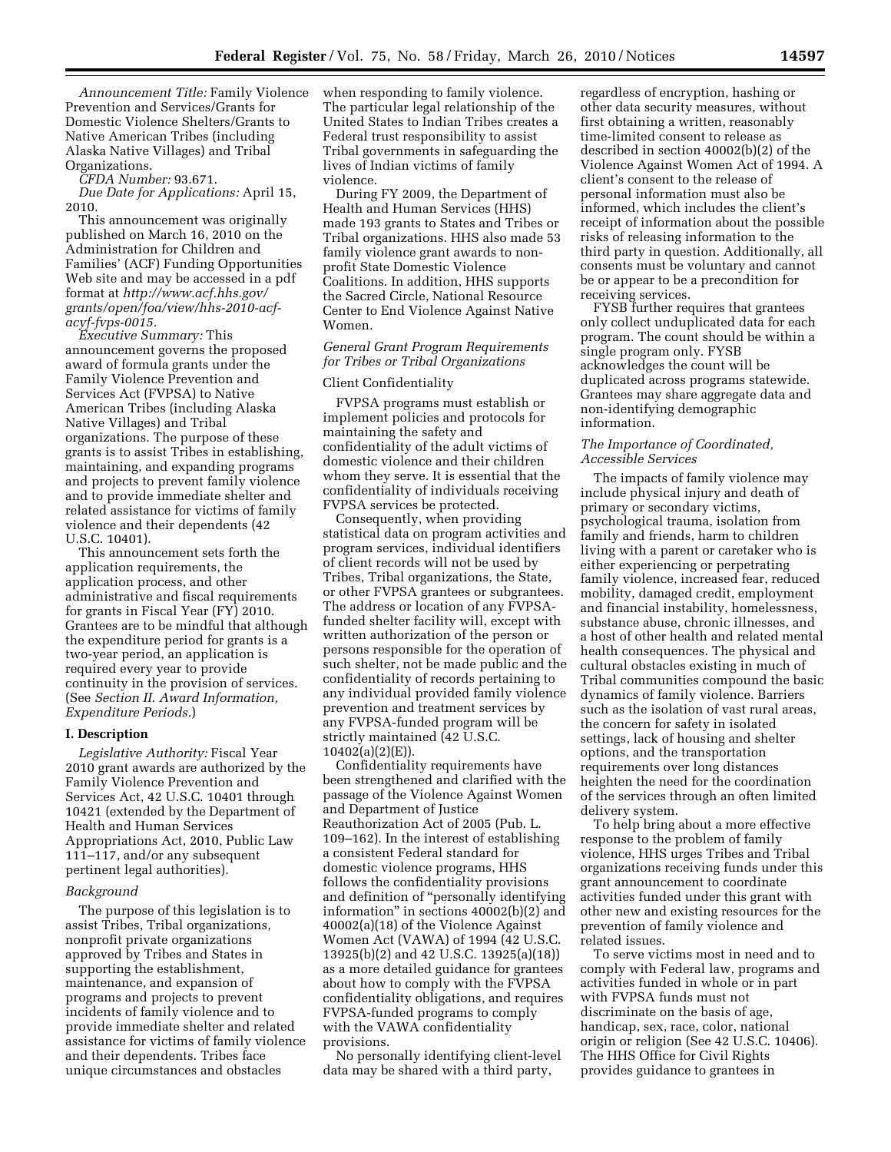*Announcement Title:* Family Violence Prevention and Services/Grants for Domestic Violence Shelters/Grants to Native American Tribes (including Alaska Native Villages) and Tribal Organizations.

*CFDA Number:* 93.671.

*Due Date for Applications:* April 15, 2010.

This announcement was originally published on March 16, 2010 on the Administration for Children and Families' (ACF) Funding Opportunities Web site and may be accessed in a pdf format at *http://www.acf.hhs.gov/ grants/open/foa/view/hhs-2010-acfacyf-fvps-0015.* 

*Executive Summary:* This announcement governs the proposed award of formula grants under the Family Violence Prevention and Services Act (FVPSA) to Native American Tribes (including Alaska Native Villages) and Tribal organizations. The purpose of these grants is to assist Tribes in establishing, maintaining, and expanding programs and projects to prevent family violence and to provide immediate shelter and related assistance for victims of family violence and their dependents (42 U.S.C. 10401).

This announcement sets forth the application requirements, the application process, and other administrative and fiscal requirements for grants in Fiscal Year (FY) 2010. Grantees are to be mindful that although the expenditure period for grants is a two-year period, an application is required every year to provide continuity in the provision of services. (See *Section II. Award Information, Expenditure Periods.*)

#### **I. Description**

*Legislative Authority:* Fiscal Year 2010 grant awards are authorized by the Family Violence Prevention and Services Act, 42 U.S.C. 10401 through 10421 (extended by the Department of Health and Human Services Appropriations Act, 2010, Public Law 111–117, and/or any subsequent pertinent legal authorities).

#### *Background*

The purpose of this legislation is to assist Tribes, Tribal organizations, nonprofit private organizations approved by Tribes and States in supporting the establishment, maintenance, and expansion of programs and projects to prevent incidents of family violence and to provide immediate shelter and related assistance for victims of family violence and their dependents. Tribes face unique circumstances and obstacles

when responding to family violence. The particular legal relationship of the United States to Indian Tribes creates a Federal trust responsibility to assist Tribal governments in safeguarding the lives of Indian victims of family violence.

During FY 2009, the Department of Health and Human Services (HHS) made 193 grants to States and Tribes or Tribal organizations. HHS also made 53 family violence grant awards to nonprofit State Domestic Violence Coalitions. In addition, HHS supports the Sacred Circle, National Resource Center to End Violence Against Native Women.

# *General Grant Program Requirements for Tribes or Tribal Organizations*

### Client Confidentiality

FVPSA programs must establish or implement policies and protocols for maintaining the safety and confidentiality of the adult victims of domestic violence and their children whom they serve. It is essential that the confidentiality of individuals receiving FVPSA services be protected.

Consequently, when providing statistical data on program activities and program services, individual identifiers of client records will not be used by Tribes, Tribal organizations, the State, or other FVPSA grantees or subgrantees. The address or location of any FVPSAfunded shelter facility will, except with written authorization of the person or persons responsible for the operation of such shelter, not be made public and the confidentiality of records pertaining to any individual provided family violence prevention and treatment services by any FVPSA-funded program will be strictly maintained (42 U.S.C. 10402(a)(2)(E)).

Confidentiality requirements have been strengthened and clarified with the passage of the Violence Against Women and Department of Justice Reauthorization Act of 2005 (Pub. L. 109–162). In the interest of establishing a consistent Federal standard for domestic violence programs, HHS follows the confidentiality provisions and definition of ''personally identifying information'' in sections 40002(b)(2) and 40002(a)(18) of the Violence Against Women Act (VAWA) of 1994 (42 U.S.C. 13925(b)(2) and 42 U.S.C. 13925(a)(18)) as a more detailed guidance for grantees about how to comply with the FVPSA confidentiality obligations, and requires FVPSA-funded programs to comply with the VAWA confidentiality provisions.

No personally identifying client-level data may be shared with a third party,

regardless of encryption, hashing or other data security measures, without first obtaining a written, reasonably time-limited consent to release as described in section 40002(b)(2) of the Violence Against Women Act of 1994. A client's consent to the release of personal information must also be informed, which includes the client's receipt of information about the possible risks of releasing information to the third party in question. Additionally, all consents must be voluntary and cannot be or appear to be a precondition for receiving services.

FYSB further requires that grantees only collect unduplicated data for each program. The count should be within a single program only. FYSB acknowledges the count will be duplicated across programs statewide. Grantees may share aggregate data and non-identifying demographic information.

## *The Importance of Coordinated, Accessible Services*

The impacts of family violence may include physical injury and death of primary or secondary victims, psychological trauma, isolation from family and friends, harm to children living with a parent or caretaker who is either experiencing or perpetrating family violence, increased fear, reduced mobility, damaged credit, employment and financial instability, homelessness, substance abuse, chronic illnesses, and a host of other health and related mental health consequences. The physical and cultural obstacles existing in much of Tribal communities compound the basic dynamics of family violence. Barriers such as the isolation of vast rural areas, the concern for safety in isolated settings, lack of housing and shelter options, and the transportation requirements over long distances heighten the need for the coordination of the services through an often limited delivery system.

To help bring about a more effective response to the problem of family violence, HHS urges Tribes and Tribal organizations receiving funds under this grant announcement to coordinate activities funded under this grant with other new and existing resources for the prevention of family violence and related issues.

To serve victims most in need and to comply with Federal law, programs and activities funded in whole or in part with FVPSA funds must not discriminate on the basis of age, handicap, sex, race, color, national origin or religion (See 42 U.S.C. 10406). The HHS Office for Civil Rights provides guidance to grantees in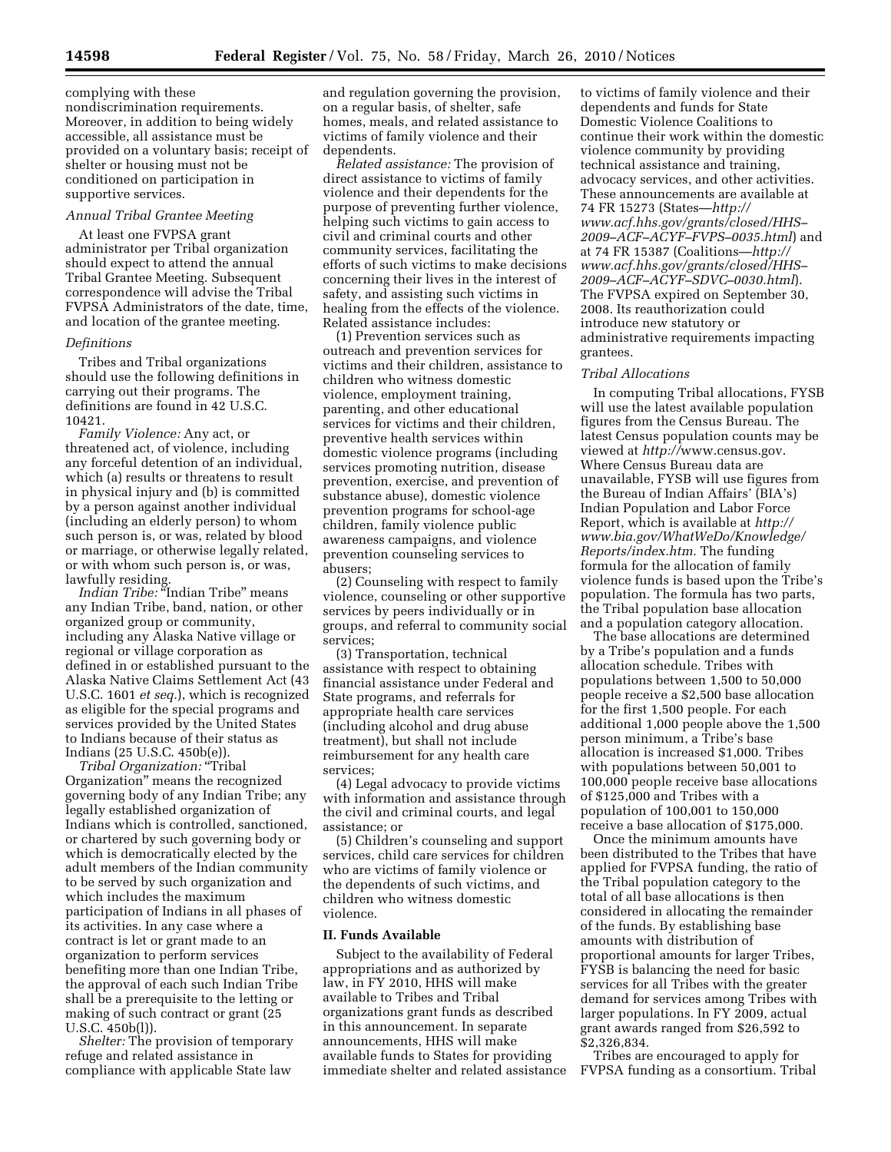complying with these nondiscrimination requirements. Moreover, in addition to being widely accessible, all assistance must be provided on a voluntary basis; receipt of shelter or housing must not be conditioned on participation in supportive services.

## *Annual Tribal Grantee Meeting*

At least one FVPSA grant administrator per Tribal organization should expect to attend the annual Tribal Grantee Meeting. Subsequent correspondence will advise the Tribal FVPSA Administrators of the date, time, and location of the grantee meeting.

#### *Definitions*

Tribes and Tribal organizations should use the following definitions in carrying out their programs. The definitions are found in 42 U.S.C. 10421.

*Family Violence:* Any act, or threatened act, of violence, including any forceful detention of an individual, which (a) results or threatens to result in physical injury and (b) is committed by a person against another individual (including an elderly person) to whom such person is, or was, related by blood or marriage, or otherwise legally related, or with whom such person is, or was, lawfully residing.

*Indian Tribe:* ''Indian Tribe'' means any Indian Tribe, band, nation, or other organized group or community, including any Alaska Native village or regional or village corporation as defined in or established pursuant to the Alaska Native Claims Settlement Act (43 U.S.C. 1601 *et seq.*), which is recognized as eligible for the special programs and services provided by the United States to Indians because of their status as Indians (25 U.S.C. 450b(e)).

*Tribal Organization:* ''Tribal Organization'' means the recognized governing body of any Indian Tribe; any legally established organization of Indians which is controlled, sanctioned, or chartered by such governing body or which is democratically elected by the adult members of the Indian community to be served by such organization and which includes the maximum participation of Indians in all phases of its activities. In any case where a contract is let or grant made to an organization to perform services benefiting more than one Indian Tribe, the approval of each such Indian Tribe shall be a prerequisite to the letting or making of such contract or grant (25 U.S.C. 450b(l)).

*Shelter:* The provision of temporary refuge and related assistance in compliance with applicable State law and regulation governing the provision, on a regular basis, of shelter, safe homes, meals, and related assistance to victims of family violence and their dependents.

*Related assistance:* The provision of direct assistance to victims of family violence and their dependents for the purpose of preventing further violence, helping such victims to gain access to civil and criminal courts and other community services, facilitating the efforts of such victims to make decisions concerning their lives in the interest of safety, and assisting such victims in healing from the effects of the violence. Related assistance includes:

(1) Prevention services such as outreach and prevention services for victims and their children, assistance to children who witness domestic violence, employment training, parenting, and other educational services for victims and their children, preventive health services within domestic violence programs (including services promoting nutrition, disease prevention, exercise, and prevention of substance abuse), domestic violence prevention programs for school-age children, family violence public awareness campaigns, and violence prevention counseling services to abusers;

(2) Counseling with respect to family violence, counseling or other supportive services by peers individually or in groups, and referral to community social services;

(3) Transportation, technical assistance with respect to obtaining financial assistance under Federal and State programs, and referrals for appropriate health care services (including alcohol and drug abuse treatment), but shall not include reimbursement for any health care services;

(4) Legal advocacy to provide victims with information and assistance through the civil and criminal courts, and legal assistance; or

(5) Children's counseling and support services, child care services for children who are victims of family violence or the dependents of such victims, and children who witness domestic violence.

# **II. Funds Available**

Subject to the availability of Federal appropriations and as authorized by law, in FY 2010, HHS will make available to Tribes and Tribal organizations grant funds as described in this announcement. In separate announcements, HHS will make available funds to States for providing immediate shelter and related assistance

to victims of family violence and their dependents and funds for State Domestic Violence Coalitions to continue their work within the domestic violence community by providing technical assistance and training, advocacy services, and other activities. These announcements are available at 74 FR 15273 (States—*http:// www.acf.hhs.gov/grants/closed/HHS– 2009–ACF–ACYF–FVPS–0035.html*) and at 74 FR 15387 (Coalitions—*http:// www.acf.hhs.gov/grants/closed/HHS– 2009–ACF–ACYF–SDVC–0030.html*). The FVPSA expired on September 30, 2008. Its reauthorization could introduce new statutory or administrative requirements impacting grantees.

#### *Tribal Allocations*

In computing Tribal allocations, FYSB will use the latest available population figures from the Census Bureau. The latest Census population counts may be viewed at *http://*www.census.gov. Where Census Bureau data are unavailable, FYSB will use figures from the Bureau of Indian Affairs' (BIA's) Indian Population and Labor Force Report, which is available at *http:// www.bia.gov/WhatWeDo/Knowledge/ Reports/index.htm.* The funding formula for the allocation of family violence funds is based upon the Tribe's population. The formula has two parts, the Tribal population base allocation and a population category allocation.

The base allocations are determined by a Tribe's population and a funds allocation schedule. Tribes with populations between 1,500 to 50,000 people receive a \$2,500 base allocation for the first 1,500 people. For each additional 1,000 people above the 1,500 person minimum, a Tribe's base allocation is increased \$1,000. Tribes with populations between 50,001 to 100,000 people receive base allocations of \$125,000 and Tribes with a population of 100,001 to 150,000 receive a base allocation of \$175,000.

Once the minimum amounts have been distributed to the Tribes that have applied for FVPSA funding, the ratio of the Tribal population category to the total of all base allocations is then considered in allocating the remainder of the funds. By establishing base amounts with distribution of proportional amounts for larger Tribes, FYSB is balancing the need for basic services for all Tribes with the greater demand for services among Tribes with larger populations. In FY 2009, actual grant awards ranged from \$26,592 to \$2,326,834.

Tribes are encouraged to apply for FVPSA funding as a consortium. Tribal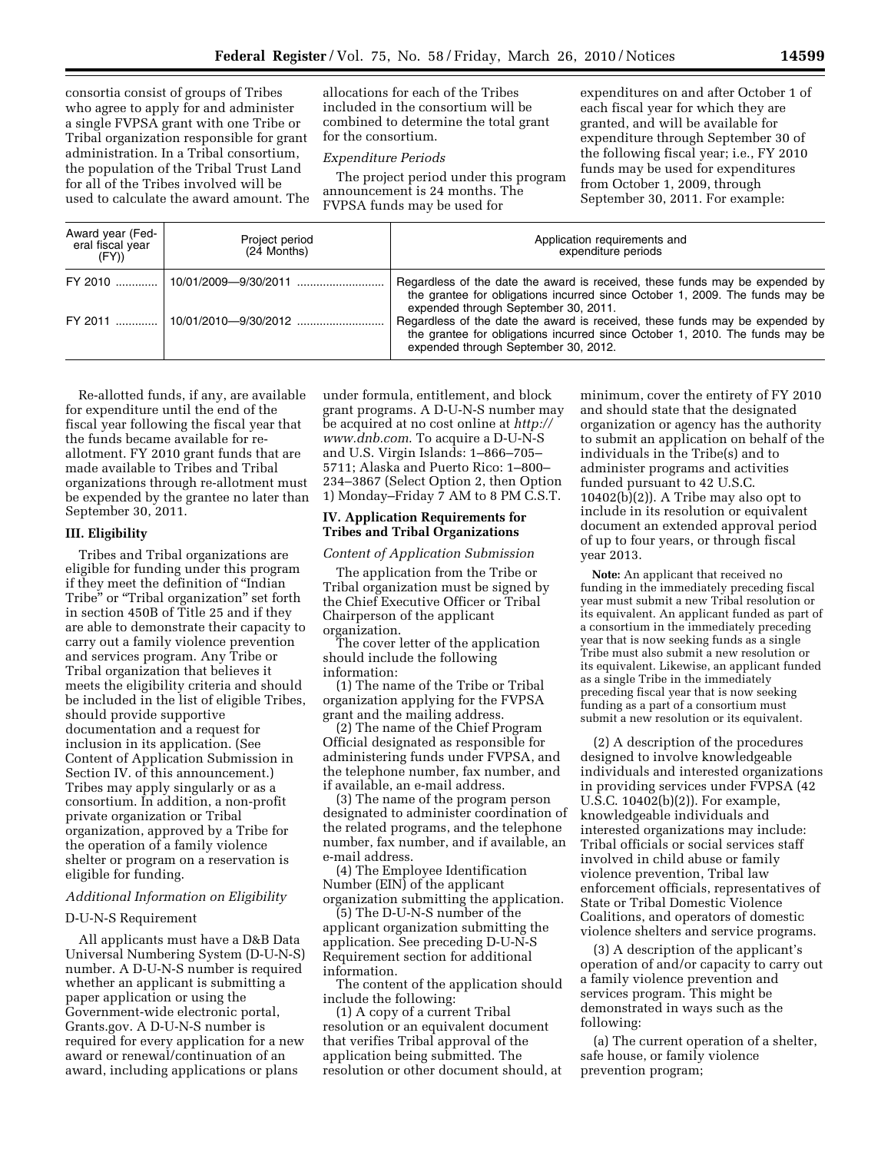consortia consist of groups of Tribes who agree to apply for and administer a single FVPSA grant with one Tribe or Tribal organization responsible for grant administration. In a Tribal consortium, the population of the Tribal Trust Land for all of the Tribes involved will be used to calculate the award amount. The

allocations for each of the Tribes included in the consortium will be combined to determine the total grant for the consortium.

## *Expenditure Periods*

The project period under this program announcement is 24 months. The FVPSA funds may be used for

expenditures on and after October 1 of each fiscal year for which they are granted, and will be available for expenditure through September 30 of the following fiscal year; i.e., FY 2010 funds may be used for expenditures from October 1, 2009, through September 30, 2011. For example:

| Award year (Fed-<br>eral fiscal year<br>(FY) | Project period<br>(24 Months) | Application requirements and<br>expenditure periods                                                                                                                                                  |
|----------------------------------------------|-------------------------------|------------------------------------------------------------------------------------------------------------------------------------------------------------------------------------------------------|
|                                              |                               | Regardless of the date the award is received, these funds may be expended by<br>the grantee for obligations incurred since October 1, 2009. The funds may be<br>expended through September 30, 2011. |
|                                              |                               | Regardless of the date the award is received, these funds may be expended by<br>the grantee for obligations incurred since October 1, 2010. The funds may be<br>expended through September 30, 2012. |

Re-allotted funds, if any, are available for expenditure until the end of the fiscal year following the fiscal year that the funds became available for reallotment. FY 2010 grant funds that are made available to Tribes and Tribal organizations through re-allotment must be expended by the grantee no later than September 30, 2011.

## **III. Eligibility**

Tribes and Tribal organizations are eligible for funding under this program if they meet the definition of ''Indian Tribe'' or ''Tribal organization'' set forth in section 450B of Title 25 and if they are able to demonstrate their capacity to carry out a family violence prevention and services program. Any Tribe or Tribal organization that believes it meets the eligibility criteria and should be included in the list of eligible Tribes, should provide supportive documentation and a request for inclusion in its application. (See Content of Application Submission in Section IV. of this announcement.) Tribes may apply singularly or as a consortium. In addition, a non-profit private organization or Tribal organization, approved by a Tribe for the operation of a family violence shelter or program on a reservation is eligible for funding.

## *Additional Information on Eligibility*

## D-U-N-S Requirement

All applicants must have a D&B Data Universal Numbering System (D-U-N-S) number. A D-U-N-S number is required whether an applicant is submitting a paper application or using the Government-wide electronic portal, Grants.gov. A D-U-N-S number is required for every application for a new award or renewal/continuation of an award, including applications or plans

under formula, entitlement, and block grant programs. A D-U-N-S number may be acquired at no cost online at *http:// www.dnb.com*. To acquire a D-U-N-S and U.S. Virgin Islands: 1–866–705– 5711; Alaska and Puerto Rico: 1–800– 234–3867 (Select Option 2, then Option 1) Monday–Friday 7 AM to 8 PM C.S.T.

## **IV. Application Requirements for Tribes and Tribal Organizations**

#### *Content of Application Submission*

The application from the Tribe or Tribal organization must be signed by the Chief Executive Officer or Tribal Chairperson of the applicant organization.

The cover letter of the application should include the following information:

(1) The name of the Tribe or Tribal organization applying for the FVPSA grant and the mailing address.

(2) The name of the Chief Program Official designated as responsible for administering funds under FVPSA, and the telephone number, fax number, and if available, an e-mail address.

(3) The name of the program person designated to administer coordination of the related programs, and the telephone number, fax number, and if available, an e-mail address.

(4) The Employee Identification Number (EIN) of the applicant organization submitting the application.

(5) The D-U-N-S number of the applicant organization submitting the application. See preceding D-U-N-S Requirement section for additional information.

The content of the application should include the following:

(1) A copy of a current Tribal resolution or an equivalent document that verifies Tribal approval of the application being submitted. The resolution or other document should, at minimum, cover the entirety of FY 2010 and should state that the designated organization or agency has the authority to submit an application on behalf of the individuals in the Tribe(s) and to administer programs and activities funded pursuant to 42 U.S.C. 10402(b)(2)). A Tribe may also opt to include in its resolution or equivalent document an extended approval period of up to four years, or through fiscal year 2013.

**Note:** An applicant that received no funding in the immediately preceding fiscal year must submit a new Tribal resolution or its equivalent. An applicant funded as part of a consortium in the immediately preceding year that is now seeking funds as a single Tribe must also submit a new resolution or its equivalent. Likewise, an applicant funded as a single Tribe in the immediately preceding fiscal year that is now seeking funding as a part of a consortium must submit a new resolution or its equivalent.

(2) A description of the procedures designed to involve knowledgeable individuals and interested organizations in providing services under FVPSA (42 U.S.C. 10402(b)(2)). For example, knowledgeable individuals and interested organizations may include: Tribal officials or social services staff involved in child abuse or family violence prevention, Tribal law enforcement officials, representatives of State or Tribal Domestic Violence Coalitions, and operators of domestic violence shelters and service programs.

(3) A description of the applicant's operation of and/or capacity to carry out a family violence prevention and services program. This might be demonstrated in ways such as the following:

(a) The current operation of a shelter, safe house, or family violence prevention program;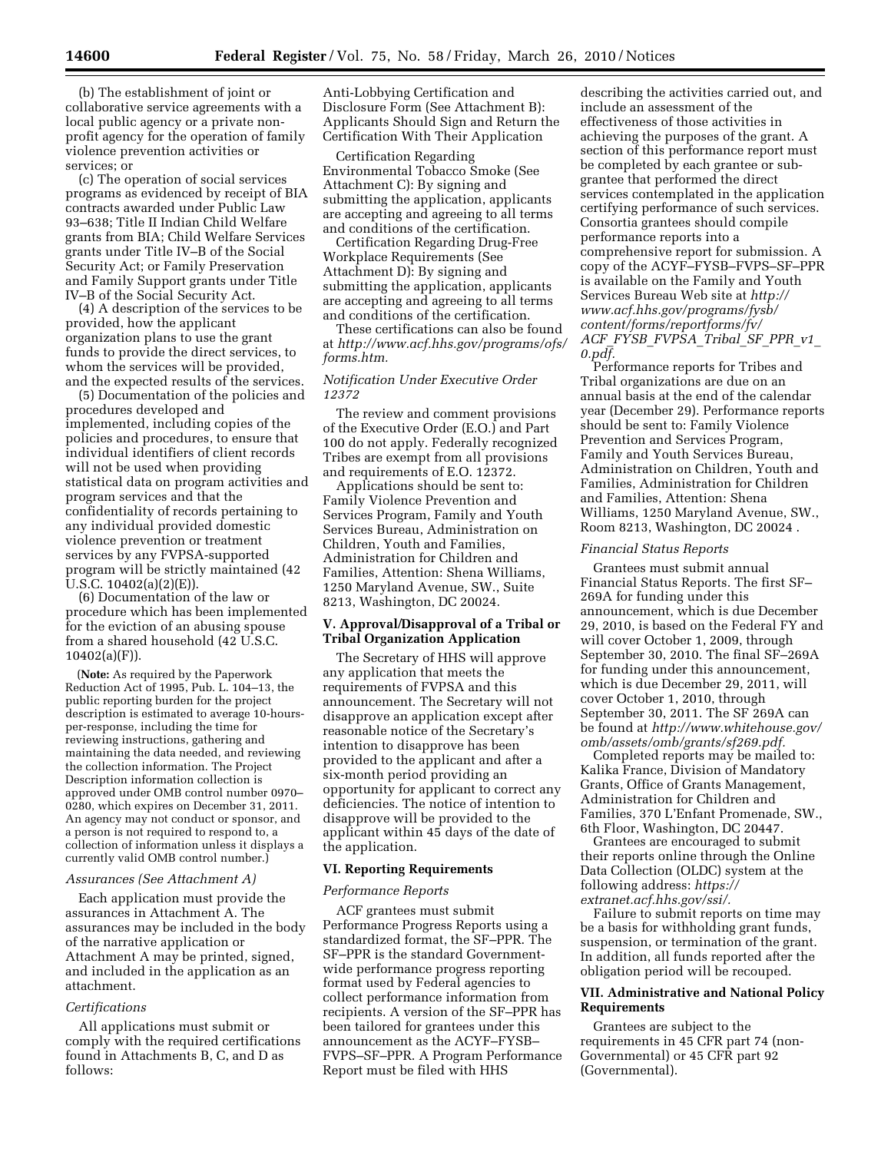(b) The establishment of joint or collaborative service agreements with a local public agency or a private nonprofit agency for the operation of family violence prevention activities or services; or

(c) The operation of social services programs as evidenced by receipt of BIA contracts awarded under Public Law 93–638; Title II Indian Child Welfare grants from BIA; Child Welfare Services grants under Title IV–B of the Social Security Act; or Family Preservation and Family Support grants under Title IV–B of the Social Security Act.

(4) A description of the services to be provided, how the applicant organization plans to use the grant funds to provide the direct services, to whom the services will be provided, and the expected results of the services.

(5) Documentation of the policies and procedures developed and implemented, including copies of the policies and procedures, to ensure that individual identifiers of client records will not be used when providing statistical data on program activities and program services and that the confidentiality of records pertaining to any individual provided domestic violence prevention or treatment services by any FVPSA-supported program will be strictly maintained (42 U.S.C. 10402(a)(2)(E)).

(6) Documentation of the law or procedure which has been implemented for the eviction of an abusing spouse from a shared household (42 U.S.C.  $10402(a)(F)$ ).

(**Note:** As required by the Paperwork Reduction Act of 1995, Pub. L. 104–13, the public reporting burden for the project description is estimated to average 10-hoursper-response, including the time for reviewing instructions, gathering and maintaining the data needed, and reviewing the collection information. The Project Description information collection is approved under OMB control number 0970– 0280, which expires on December 31, 2011. An agency may not conduct or sponsor, and a person is not required to respond to, a collection of information unless it displays a currently valid OMB control number.)

## *Assurances (See Attachment A)*

Each application must provide the assurances in Attachment A. The assurances may be included in the body of the narrative application or Attachment A may be printed, signed, and included in the application as an attachment.

#### *Certifications*

All applications must submit or comply with the required certifications found in Attachments B, C, and D as follows:

Anti-Lobbying Certification and Disclosure Form (See Attachment B): Applicants Should Sign and Return the Certification With Their Application

Certification Regarding Environmental Tobacco Smoke (See Attachment C): By signing and submitting the application, applicants are accepting and agreeing to all terms and conditions of the certification.

Certification Regarding Drug-Free Workplace Requirements (See Attachment D): By signing and submitting the application, applicants are accepting and agreeing to all terms and conditions of the certification.

These certifications can also be found at *http://www.acf.hhs.gov/programs/ofs/ forms.htm.* 

## *Notification Under Executive Order 12372*

The review and comment provisions of the Executive Order (E.O.) and Part 100 do not apply. Federally recognized Tribes are exempt from all provisions and requirements of E.O. 12372.

Applications should be sent to: Family Violence Prevention and Services Program, Family and Youth Services Bureau, Administration on Children, Youth and Families, Administration for Children and Families, Attention: Shena Williams, 1250 Maryland Avenue, SW., Suite 8213, Washington, DC 20024.

## **V. Approval/Disapproval of a Tribal or Tribal Organization Application**

The Secretary of HHS will approve any application that meets the requirements of FVPSA and this announcement. The Secretary will not disapprove an application except after reasonable notice of the Secretary's intention to disapprove has been provided to the applicant and after a six-month period providing an opportunity for applicant to correct any deficiencies. The notice of intention to disapprove will be provided to the applicant within 45 days of the date of the application.

#### **VI. Reporting Requirements**

#### *Performance Reports*

ACF grantees must submit Performance Progress Reports using a standardized format, the SF–PPR. The SF–PPR is the standard Governmentwide performance progress reporting format used by Federal agencies to collect performance information from recipients. A version of the SF–PPR has been tailored for grantees under this announcement as the ACYF–FYSB– FVPS–SF–PPR. A Program Performance Report must be filed with HHS

describing the activities carried out, and include an assessment of the effectiveness of those activities in achieving the purposes of the grant. A section of this performance report must be completed by each grantee or subgrantee that performed the direct services contemplated in the application certifying performance of such services. Consortia grantees should compile performance reports into a comprehensive report for submission. A copy of the ACYF–FYSB–FVPS–SF–PPR is available on the Family and Youth Services Bureau Web site at *http:// www.acf.hhs.gov/programs/fysb/ content/forms/reportforms/fv/ ACF*\_*FYSB*\_*FVPSA*\_*Tribal*\_*SF*\_*PPR*\_*v1*\_ *0.pdf.* 

Performance reports for Tribes and Tribal organizations are due on an annual basis at the end of the calendar year (December 29). Performance reports should be sent to: Family Violence Prevention and Services Program, Family and Youth Services Bureau, Administration on Children, Youth and Families, Administration for Children and Families, Attention: Shena Williams, 1250 Maryland Avenue, SW., Room 8213, Washington, DC 20024 .

### *Financial Status Reports*

Grantees must submit annual Financial Status Reports. The first SF– 269A for funding under this announcement, which is due December 29, 2010, is based on the Federal FY and will cover October 1, 2009, through September 30, 2010. The final SF–269A for funding under this announcement, which is due December 29, 2011, will cover October 1, 2010, through September 30, 2011. The SF 269A can be found at *http://www.whitehouse.gov/ omb/assets/omb/grants/sf269.pdf.* 

Completed reports may be mailed to: Kalika France, Division of Mandatory Grants, Office of Grants Management, Administration for Children and Families, 370 L'Enfant Promenade, SW., 6th Floor, Washington, DC 20447.

Grantees are encouraged to submit their reports online through the Online Data Collection (OLDC) system at the following address: *https:// extranet.acf.hhs.gov/ssi/.* 

Failure to submit reports on time may be a basis for withholding grant funds, suspension, or termination of the grant. In addition, all funds reported after the obligation period will be recouped.

## **VII. Administrative and National Policy Requirements**

Grantees are subject to the requirements in 45 CFR part 74 (non-Governmental) or 45 CFR part 92 (Governmental).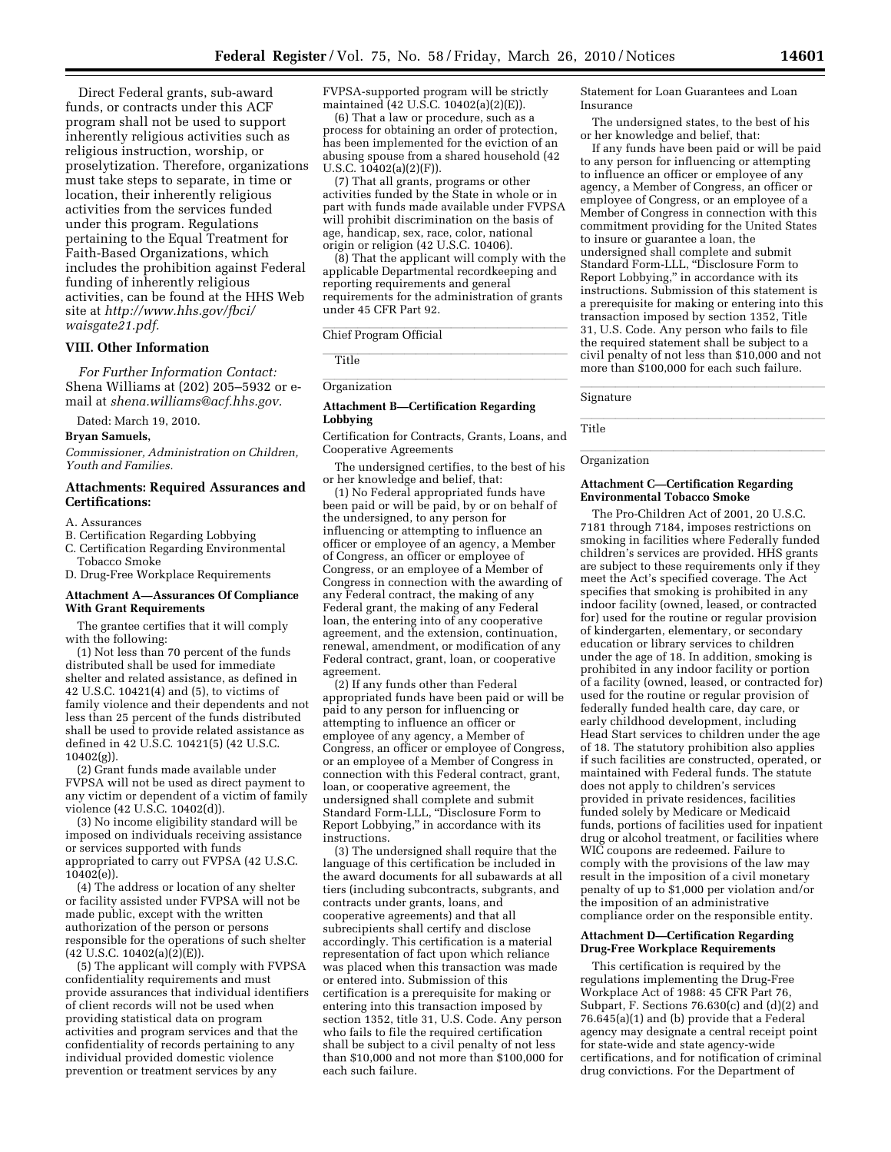Direct Federal grants, sub-award funds, or contracts under this ACF program shall not be used to support inherently religious activities such as religious instruction, worship, or proselytization. Therefore, organizations must take steps to separate, in time or location, their inherently religious activities from the services funded under this program. Regulations pertaining to the Equal Treatment for Faith-Based Organizations, which includes the prohibition against Federal funding of inherently religious activities, can be found at the HHS Web site at *http://www.hhs.gov/fbci/ waisgate21.pdf.* 

## **VIII. Other Information**

*For Further Information Contact:*  Shena Williams at (202) 205–5932 or email at *shena.williams@acf.hhs.gov.* 

Dated: March 19, 2010.

#### **Bryan Samuels,**

*Commissioner, Administration on Children, Youth and Families.* 

#### **Attachments: Required Assurances and Certifications:**

#### A. Assurances

- B. Certification Regarding Lobbying
- C. Certification Regarding Environmental Tobacco Smoke

D. Drug-Free Workplace Requirements

#### **Attachment A—Assurances Of Compliance With Grant Requirements**

The grantee certifies that it will comply with the following:

(1) Not less than 70 percent of the funds distributed shall be used for immediate shelter and related assistance, as defined in 42 U.S.C. 10421(4) and (5), to victims of family violence and their dependents and not less than 25 percent of the funds distributed shall be used to provide related assistance as defined in 42 U.S.C. 10421(5) (42 U.S.C. 10402(g)).

(2) Grant funds made available under FVPSA will not be used as direct payment to any victim or dependent of a victim of family violence (42 U.S.C. 10402(d)).

(3) No income eligibility standard will be imposed on individuals receiving assistance or services supported with funds appropriated to carry out FVPSA (42 U.S.C.  $10402(e)$ ).

(4) The address or location of any shelter or facility assisted under FVPSA will not be made public, except with the written authorization of the person or persons responsible for the operations of such shelter  $(42\text{ U.S.C. } 10402(a)(2)(E)).$ 

(5) The applicant will comply with FVPSA confidentiality requirements and must provide assurances that individual identifiers of client records will not be used when providing statistical data on program activities and program services and that the confidentiality of records pertaining to any individual provided domestic violence prevention or treatment services by any

FVPSA-supported program will be strictly maintained (42 U.S.C. 10402(a)(2)(E)).

(6) That a law or procedure, such as a process for obtaining an order of protection, has been implemented for the eviction of an abusing spouse from a shared household (42 U.S.C.  $10402(a)(2)(F)$ ).

(7) That all grants, programs or other activities funded by the State in whole or in part with funds made available under FVPSA will prohibit discrimination on the basis of age, handicap, sex, race, color, national origin or religion (42 U.S.C. 10406).

(8) That the applicant will comply with the applicable Departmental recordkeeping and reporting requirements and general requirements for the administration of grants under 45 CFR Part 92.

# Chief Program Official

**luminarism** Title

# Organization

#### **Attachment B—Certification Regarding Lobbying**

Certification for Contracts, Grants, Loans, and Cooperative Agreements

The undersigned certifies, to the best of his or her knowledge and belief, that:

(1) No Federal appropriated funds have been paid or will be paid, by or on behalf of the undersigned, to any person for influencing or attempting to influence an officer or employee of an agency, a Member of Congress, an officer or employee of Congress, or an employee of a Member of Congress in connection with the awarding of any Federal contract, the making of any Federal grant, the making of any Federal loan, the entering into of any cooperative agreement, and the extension, continuation, renewal, amendment, or modification of any Federal contract, grant, loan, or cooperative agreement.

(2) If any funds other than Federal appropriated funds have been paid or will be paid to any person for influencing or attempting to influence an officer or employee of any agency, a Member of Congress, an officer or employee of Congress, or an employee of a Member of Congress in connection with this Federal contract, grant, loan, or cooperative agreement, the undersigned shall complete and submit Standard Form-LLL, ''Disclosure Form to Report Lobbying,'' in accordance with its instructions.

(3) The undersigned shall require that the language of this certification be included in the award documents for all subawards at all tiers (including subcontracts, subgrants, and contracts under grants, loans, and cooperative agreements) and that all subrecipients shall certify and disclose accordingly. This certification is a material representation of fact upon which reliance was placed when this transaction was made or entered into. Submission of this certification is a prerequisite for making or entering into this transaction imposed by section 1352, title 31, U.S. Code. Any person who fails to file the required certification shall be subject to a civil penalty of not less than \$10,000 and not more than \$100,000 for each such failure.

Statement for Loan Guarantees and Loan Insurance

The undersigned states, to the best of his or her knowledge and belief, that:

If any funds have been paid or will be paid to any person for influencing or attempting to influence an officer or employee of any agency, a Member of Congress, an officer or employee of Congress, or an employee of a Member of Congress in connection with this commitment providing for the United States to insure or guarantee a loan, the undersigned shall complete and submit Standard Form-LLL, ''Disclosure Form to Report Lobbying,'' in accordance with its instructions. Submission of this statement is a prerequisite for making or entering into this transaction imposed by section 1352, Title 31, U.S. Code. Any person who fails to file the required statement shall be subject to a civil penalty of not less than \$10,000 and not more than \$100,000 for each such failure.

llanding and the control of the control of the control of the control of the control of the control of the control of the control of the control of the control of the control of the control of the control of the control of Signature

llllallandi.<br>Title Title

# **Organization**

#### **Attachment C—Certification Regarding Environmental Tobacco Smoke**

The Pro-Children Act of 2001, 20 U.S.C. 7181 through 7184, imposes restrictions on smoking in facilities where Federally funded children's services are provided. HHS grants are subject to these requirements only if they meet the Act's specified coverage. The Act specifies that smoking is prohibited in any indoor facility (owned, leased, or contracted for) used for the routine or regular provision of kindergarten, elementary, or secondary education or library services to children under the age of 18. In addition, smoking is prohibited in any indoor facility or portion of a facility (owned, leased, or contracted for) used for the routine or regular provision of federally funded health care, day care, or early childhood development, including Head Start services to children under the age of 18. The statutory prohibition also applies if such facilities are constructed, operated, or maintained with Federal funds. The statute does not apply to children's services provided in private residences, facilities funded solely by Medicare or Medicaid funds, portions of facilities used for inpatient drug or alcohol treatment, or facilities where WIC coupons are redeemed. Failure to comply with the provisions of the law may result in the imposition of a civil monetary penalty of up to \$1,000 per violation and/or the imposition of an administrative compliance order on the responsible entity.

#### **Attachment D—Certification Regarding Drug-Free Workplace Requirements**

This certification is required by the regulations implementing the Drug-Free Workplace Act of 1988: 45 CFR Part 76, Subpart, F. Sections 76.630(c) and (d)(2) and 76.645(a)(1) and (b) provide that a Federal agency may designate a central receipt point for state-wide and state agency-wide certifications, and for notification of criminal drug convictions. For the Department of